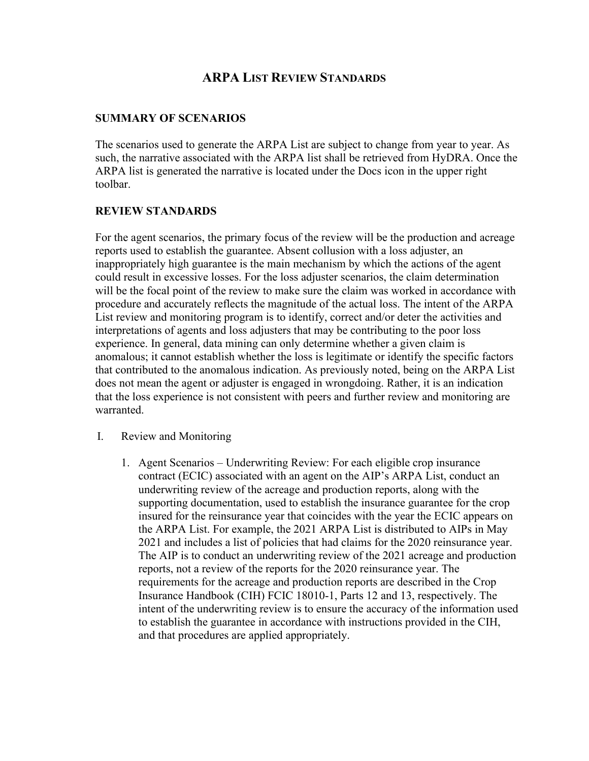# **ARPA LIST REVIEW STANDARDS**

## **SUMMARY OF SCENARIOS**

The scenarios used to generate the ARPA List are subject to change from year to year. As such, the narrative associated with the ARPA list shall be retrieved from HyDRA. Once the ARPA list is generated the narrative is located under the Docs icon in the upper right toolbar.

# **REVIEW STANDARDS**

For the agent scenarios, the primary focus of the review will be the production and acreage reports used to establish the guarantee. Absent collusion with a loss adjuster, an inappropriately high guarantee is the main mechanism by which the actions of the agent could result in excessive losses. For the loss adjuster scenarios, the claim determination will be the focal point of the review to make sure the claim was worked in accordance with procedure and accurately reflects the magnitude of the actual loss. The intent of the ARPA List review and monitoring program is to identify, correct and/or deter the activities and interpretations of agents and loss adjusters that may be contributing to the poor loss experience. In general, data mining can only determine whether a given claim is anomalous; it cannot establish whether the loss is legitimate or identify the specific factors that contributed to the anomalous indication. As previously noted, being on the ARPA List does not mean the agent or adjuster is engaged in wrongdoing. Rather, it is an indication that the loss experience is not consistent with peers and further review and monitoring are warranted.

- I. Review and Monitoring
	- 1. Agent Scenarios Underwriting Review: For each eligible crop insurance contract (ECIC) associated with an agent on the AIP's ARPA List, conduct an underwriting review of the acreage and production reports, along with the supporting documentation, used to establish the insurance guarantee for the crop insured for the reinsurance year that coincides with the year the ECIC appears on the ARPA List. For example, the 2021 ARPA List is distributed to AIPs in May 2021 and includes a list of policies that had claims for the 2020 reinsurance year. The AIP is to conduct an underwriting review of the 2021 acreage and production reports, not a review of the reports for the 2020 reinsurance year. The requirements for the acreage and production reports are described in the Crop Insurance Handbook (CIH) FCIC 18010-1, Parts 12 and 13, respectively. The intent of the underwriting review is to ensure the accuracy of the information used to establish the guarantee in accordance with instructions provided in the CIH, and that procedures are applied appropriately.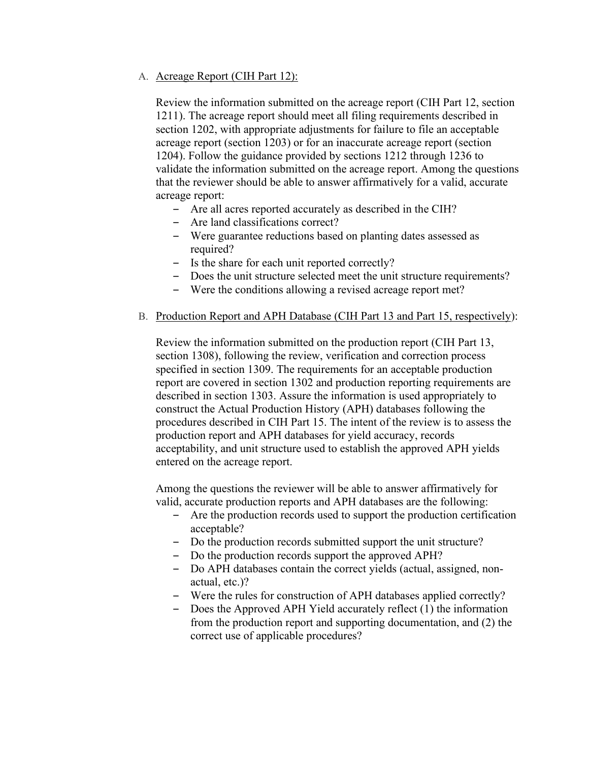## A. Acreage Report (CIH Part 12):

Review the information submitted on the acreage report (CIH Part 12, section 1211). The acreage report should meet all filing requirements described in section 1202, with appropriate adjustments for failure to file an acceptable acreage report (section 1203) or for an inaccurate acreage report (section 1204). Follow the guidance provided by sections 1212 through 1236 to validate the information submitted on the acreage report. Among the questions that the reviewer should be able to answer affirmatively for a valid, accurate acreage report:

- ‒ Are all acres reported accurately as described in the CIH?
- Are land classifications correct?
- ‒ Were guarantee reductions based on planting dates assessed as required?
- ‒ Is the share for each unit reported correctly?
- ‒ Does the unit structure selected meet the unit structure requirements?
- ‒ Were the conditions allowing a revised acreage report met?

#### B. Production Report and APH Database (CIH Part 13 and Part 15, respectively):

Review the information submitted on the production report (CIH Part 13, section 1308), following the review, verification and correction process specified in section 1309. The requirements for an acceptable production report are covered in section 1302 and production reporting requirements are described in section 1303. Assure the information is used appropriately to construct the Actual Production History (APH) databases following the procedures described in CIH Part 15. The intent of the review is to assess the production report and APH databases for yield accuracy, records acceptability, and unit structure used to establish the approved APH yields entered on the acreage report.

Among the questions the reviewer will be able to answer affirmatively for valid, accurate production reports and APH databases are the following:

- ‒ Are the production records used to support the production certification acceptable?
- ‒ Do the production records submitted support the unit structure?
- ‒ Do the production records support the approved APH?
- ‒ Do APH databases contain the correct yields (actual, assigned, nonactual, etc.)?
- ‒ Were the rules for construction of APH databases applied correctly?
- ‒ Does the Approved APH Yield accurately reflect (1) the information from the production report and supporting documentation, and (2) the correct use of applicable procedures?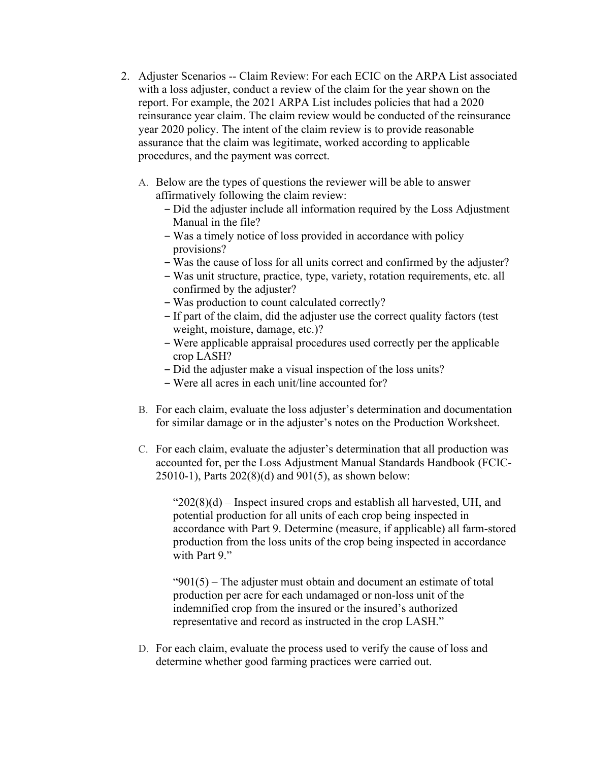- 2. Adjuster Scenarios -- Claim Review: For each ECIC on the ARPA List associated with a loss adjuster, conduct a review of the claim for the year shown on the report. For example, the 2021 ARPA List includes policies that had a 2020 reinsurance year claim. The claim review would be conducted of the reinsurance year 2020 policy. The intent of the claim review is to provide reasonable assurance that the claim was legitimate, worked according to applicable procedures, and the payment was correct.
	- A. Below are the types of questions the reviewer will be able to answer affirmatively following the claim review:
		- ‒ Did the adjuster include all information required by the Loss Adjustment Manual in the file?
		- ‒ Was a timely notice of loss provided in accordance with policy provisions?
		- ‒ Was the cause of loss for all units correct and confirmed by the adjuster?
		- ‒ Was unit structure, practice, type, variety, rotation requirements, etc. all confirmed by the adjuster?
		- ‒ Was production to count calculated correctly?
		- ‒ If part of the claim, did the adjuster use the correct quality factors (test weight, moisture, damage, etc.)?
		- ‒ Were applicable appraisal procedures used correctly per the applicable crop LASH?
		- ‒ Did the adjuster make a visual inspection of the loss units?
		- ‒ Were all acres in each unit/line accounted for?
	- B. For each claim, evaluate the loss adjuster's determination and documentation for similar damage or in the adjuster's notes on the Production Worksheet.
	- C. For each claim, evaluate the adjuster's determination that all production was accounted for, per the Loss Adjustment Manual Standards Handbook (FCIC-25010-1), Parts 202(8)(d) and 901(5), as shown below:

" $202(8)(d)$  – Inspect insured crops and establish all harvested, UH, and potential production for all units of each crop being inspected in accordance with Part 9. Determine (measure, if applicable) all farm-stored production from the loss units of the crop being inspected in accordance with Part 9."

" $901(5)$  – The adjuster must obtain and document an estimate of total production per acre for each undamaged or non-loss unit of the indemnified crop from the insured or the insured's authorized representative and record as instructed in the crop LASH."

D. For each claim, evaluate the process used to verify the cause of loss and determine whether good farming practices were carried out.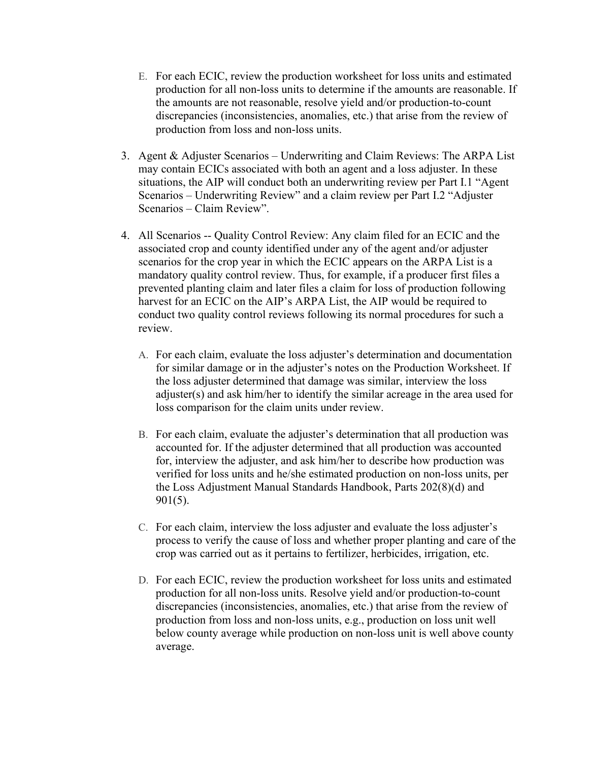- E. For each ECIC, review the production worksheet for loss units and estimated production for all non-loss units to determine if the amounts are reasonable. If the amounts are not reasonable, resolve yield and/or production-to-count discrepancies (inconsistencies, anomalies, etc.) that arise from the review of production from loss and non-loss units.
- 3. Agent & Adjuster Scenarios Underwriting and Claim Reviews: The ARPA List may contain ECICs associated with both an agent and a loss adjuster. In these situations, the AIP will conduct both an underwriting review per Part I.1 "Agent Scenarios – Underwriting Review" and a claim review per Part I.2 "Adjuster Scenarios – Claim Review".
- 4. All Scenarios -- Quality Control Review: Any claim filed for an ECIC and the associated crop and county identified under any of the agent and/or adjuster scenarios for the crop year in which the ECIC appears on the ARPA List is a mandatory quality control review. Thus, for example, if a producer first files a prevented planting claim and later files a claim for loss of production following harvest for an ECIC on the AIP's ARPA List, the AIP would be required to conduct two quality control reviews following its normal procedures for such a review.
	- A. For each claim, evaluate the loss adjuster's determination and documentation for similar damage or in the adjuster's notes on the Production Worksheet. If the loss adjuster determined that damage was similar, interview the loss adjuster(s) and ask him/her to identify the similar acreage in the area used for loss comparison for the claim units under review.
	- B. For each claim, evaluate the adjuster's determination that all production was accounted for. If the adjuster determined that all production was accounted for, interview the adjuster, and ask him/her to describe how production was verified for loss units and he/she estimated production on non-loss units, per the Loss Adjustment Manual Standards Handbook, Parts 202(8)(d) and 901(5).
	- C. For each claim, interview the loss adjuster and evaluate the loss adjuster's process to verify the cause of loss and whether proper planting and care of the crop was carried out as it pertains to fertilizer, herbicides, irrigation, etc.
	- D. For each ECIC, review the production worksheet for loss units and estimated production for all non-loss units. Resolve yield and/or production-to-count discrepancies (inconsistencies, anomalies, etc.) that arise from the review of production from loss and non-loss units, e.g., production on loss unit well below county average while production on non-loss unit is well above county average.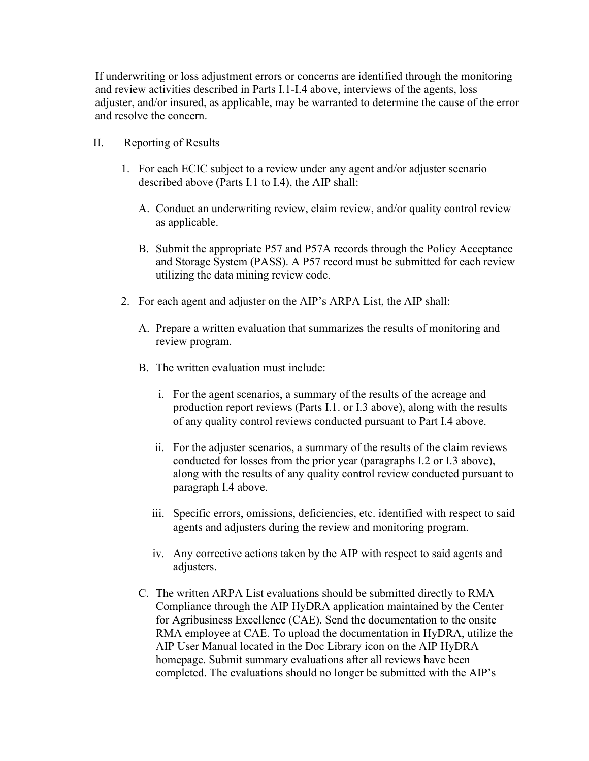If underwriting or loss adjustment errors or concerns are identified through the monitoring and review activities described in Parts I.1-I.4 above, interviews of the agents, loss adjuster, and/or insured, as applicable, may be warranted to determine the cause of the error and resolve the concern.

- II. Reporting of Results
	- 1. For each ECIC subject to a review under any agent and/or adjuster scenario described above (Parts I.1 to I.4), the AIP shall:
		- A. Conduct an underwriting review, claim review, and/or quality control review as applicable.
		- B. Submit the appropriate P57 and P57A records through the Policy Acceptance and Storage System (PASS). A P57 record must be submitted for each review utilizing the data mining review code.
	- 2. For each agent and adjuster on the AIP's ARPA List, the AIP shall:
		- A. Prepare a written evaluation that summarizes the results of monitoring and review program.
		- B. The written evaluation must include:
			- i. For the agent scenarios, a summary of the results of the acreage and production report reviews (Parts I.1. or I.3 above), along with the results of any quality control reviews conducted pursuant to Part I.4 above.
			- ii. For the adjuster scenarios, a summary of the results of the claim reviews conducted for losses from the prior year (paragraphs I.2 or I.3 above), along with the results of any quality control review conducted pursuant to paragraph I.4 above.
			- iii. Specific errors, omissions, deficiencies, etc. identified with respect to said agents and adjusters during the review and monitoring program.
			- iv. Any corrective actions taken by the AIP with respect to said agents and adjusters.
		- C. The written ARPA List evaluations should be submitted directly to RMA Compliance through the AIP HyDRA application maintained by the Center for Agribusiness Excellence (CAE). Send the documentation to the onsite RMA employee at CAE. To upload the documentation in HyDRA, utilize the AIP User Manual located in the Doc Library icon on the AIP HyDRA homepage. Submit summary evaluations after all reviews have been completed. The evaluations should no longer be submitted with the AIP's